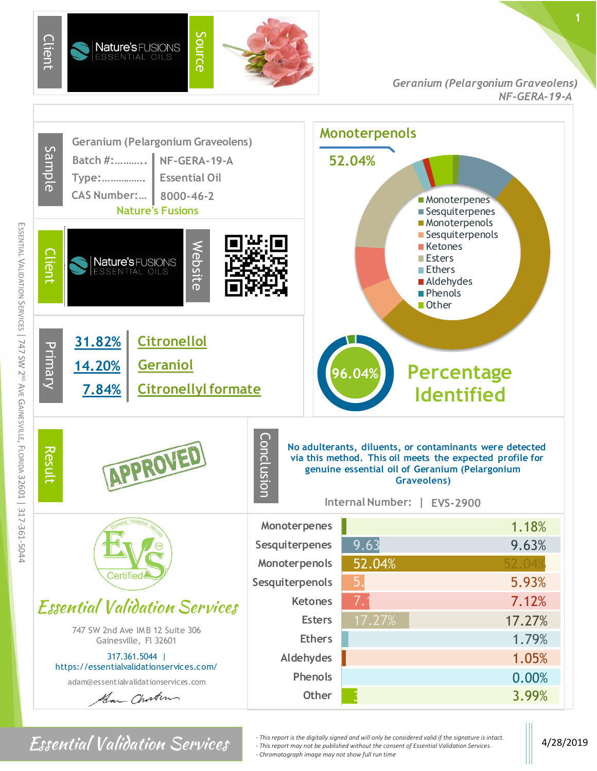

ESSENTIAL

VALIDATION SERVICES |

747 SW 2ND AVE

GAINESVILLE,

FLORIDA 32601

|

317-361-5044

*Geranium (Pelargonium Graveolens) NF-GERA-19-A*



Essential Validation Services  $\left\|$  *- This report is the digitally signed and will only be considered valid if the signature is intact.*  $\|$  4/28/2019 *- This report may not be published without the consent of Essential Validation Services. - Chromatograph image may not show full run time*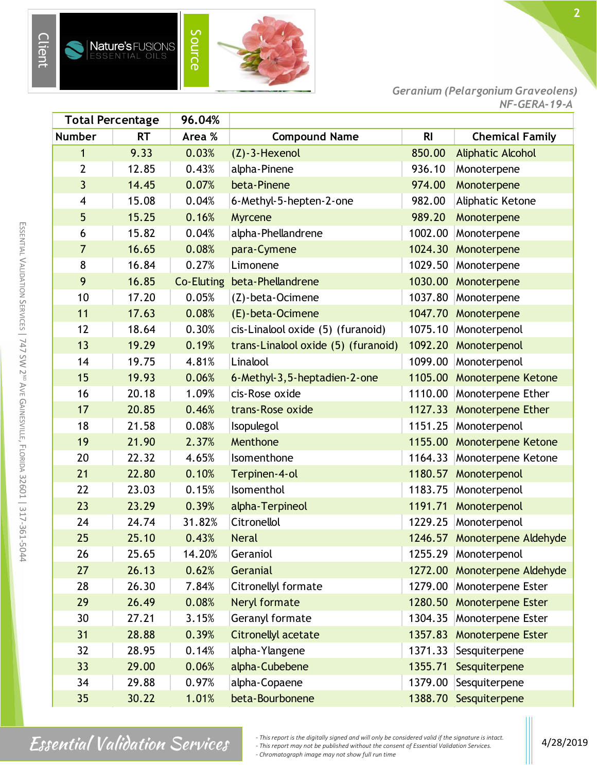



| <b>Total Percentage</b> |           | 96.04%     |                                     |                |                              |
|-------------------------|-----------|------------|-------------------------------------|----------------|------------------------------|
| <b>Number</b>           | <b>RT</b> | Area %     | <b>Compound Name</b>                | R <sub>l</sub> | <b>Chemical Family</b>       |
| 1                       | 9.33      | 0.03%      | $(Z) - 3$ -Hexenol                  | 850.00         | <b>Aliphatic Alcohol</b>     |
| $\overline{2}$          | 12.85     | 0.43%      | alpha-Pinene                        | 936.10         | Monoterpene                  |
| $\overline{3}$          | 14.45     | 0.07%      | beta-Pinene                         | 974.00         | Monoterpene                  |
| 4                       | 15.08     | 0.04%      | 6-Methyl-5-hepten-2-one             | 982.00         | Aliphatic Ketone             |
| 5                       | 15.25     | 0.16%      | Myrcene                             | 989.20         | Monoterpene                  |
| 6                       | 15.82     | 0.04%      | alpha-Phellandrene                  | 1002.00        | Monoterpene                  |
| $\overline{7}$          | 16.65     | 0.08%      | para-Cymene                         |                | 1024.30 Monoterpene          |
| 8                       | 16.84     | 0.27%      | Limonene                            | 1029.50        | Monoterpene                  |
| 9                       | 16.85     | Co-Eluting | beta-Phellandrene                   | 1030.00        | Monoterpene                  |
| 10                      | 17.20     | 0.05%      | (Z)-beta-Ocimene                    | 1037.80        | Monoterpene                  |
| 11                      | 17.63     | 0.08%      | (E)-beta-Ocimene                    |                | 1047.70 Monoterpene          |
| 12                      | 18.64     | 0.30%      | cis-Linalool oxide (5) (furanoid)   | 1075.10        | Monoterpenol                 |
| 13                      | 19.29     | 0.19%      | trans-Linalool oxide (5) (furanoid) | 1092.20        | Monoterpenol                 |
| 14                      | 19.75     | 4.81%      | Linalool                            | 1099.00        | Monoterpenol                 |
| 15                      | 19.93     | 0.06%      | 6-Methyl-3,5-heptadien-2-one        |                | 1105.00 Monoterpene Ketone   |
| 16                      | 20.18     | 1.09%      | cis-Rose oxide                      | 1110.00        | Monoterpene Ether            |
| 17                      | 20.85     | 0.46%      | trans-Rose oxide                    | 1127.33        | <b>Monoterpene Ether</b>     |
| 18                      | 21.58     | 0.08%      | Isopulegol                          | 1151.25        | Monoterpenol                 |
| 19                      | 21.90     | 2.37%      | Menthone                            |                | 1155.00 Monoterpene Ketone   |
| 20                      | 22.32     | 4.65%      | Isomenthone                         |                | 1164.33 Monoterpene Ketone   |
| 21                      | 22.80     | 0.10%      | Terpinen-4-ol                       | 1180.57        | Monoterpenol                 |
| 22                      | 23.03     | 0.15%      | Isomenthol                          | 1183.75        | Monoterpenol                 |
| 23                      | 23.29     | 0.39%      | alpha-Terpineol                     | 1191.71        | Monoterpenol                 |
| 24                      | 24.74     | 31.82%     | Citronellol                         | 1229.25        | Monoterpenol                 |
| 25                      | 25.10     | 0.43%      | <b>Neral</b>                        |                | 1246.57 Monoterpene Aldehyde |
| 26                      | 25.65     | 14.20%     | Geraniol                            |                | 1255.29 Monoterpenol         |
| 27                      | 26.13     | 0.62%      | Geranial                            |                | 1272.00 Monoterpene Aldehyde |
| 28                      | 26.30     | 7.84%      | Citronellyl formate                 | 1279.00        | Monoterpene Ester            |
| 29                      | 26.49     | 0.08%      | Neryl formate                       | 1280.50        | Monoterpene Ester            |
| 30                      | 27.21     | 3.15%      | Geranyl formate                     | 1304.35        | Monoterpene Ester            |
| 31                      | 28.88     | 0.39%      | <b>Citronellyl acetate</b>          | 1357.83        | Monoterpene Ester            |
| 32                      | 28.95     | 0.14%      | alpha-Ylangene                      | 1371.33        | Sesquiterpene                |
| 33                      | 29.00     | 0.06%      | alpha-Cubebene                      | 1355.71        | Sesquiterpene                |
| 34                      | 29.88     | 0.97%      | alpha-Copaene                       | 1379.00        | Sesquiterpene                |
| 35                      | 30.22     | 1.01%      | beta-Bourbonene                     |                | 1388.70 Sesquiterpene        |

Client